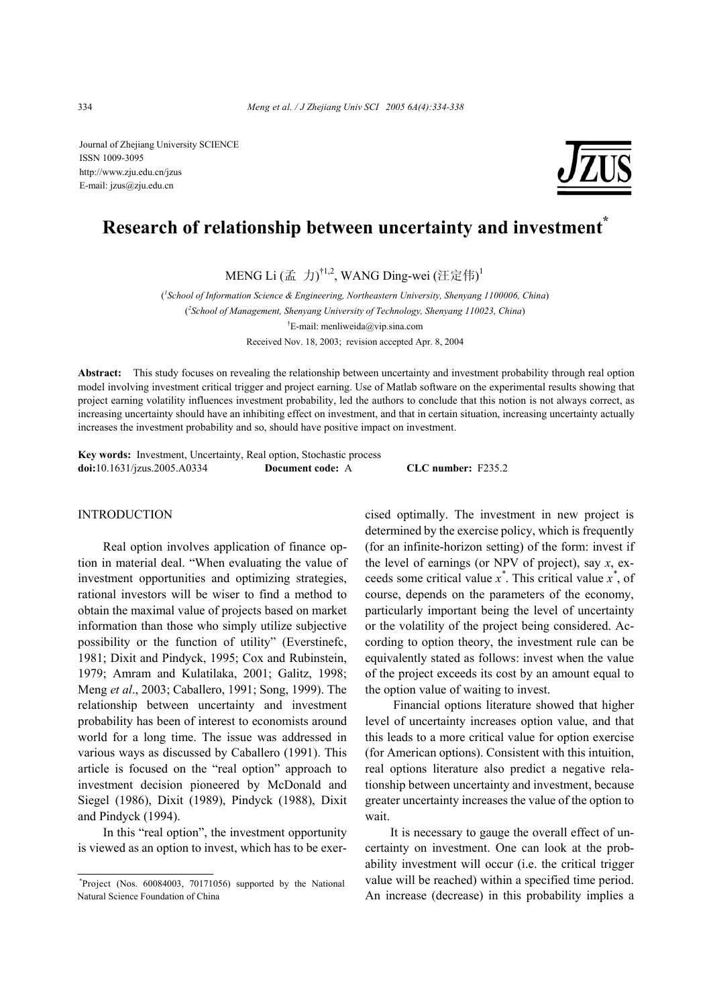Journal of Zhejiang University SCIENCE ISSN 1009-3095 http://www.zju.edu.cn/jzus E-mail: jzus@zju.edu.cn



# **Research of relationship between uncertainty and investment\***

MENG Li (孟 力) $^{\dagger1,2}$ , WANG Ding-wei (汪定伟) $^{\dagger}$ 

( *1 School of Information Science & Engineering, Northeastern University, Shenyang 1100006, China*) ( *2 School of Management, Shenyang University of Technology, Shenyang 110023, China*) † E-mail: menliweida@vip.sina.com Received Nov. 18, 2003; revision accepted Apr. 8, 2004

**Abstract:** This study focuses on revealing the relationship between uncertainty and investment probability through real option model involving investment critical trigger and project earning. Use of Matlab software on the experimental results showing that project earning volatility influences investment probability, led the authors to conclude that this notion is not always correct, as increasing uncertainty should have an inhibiting effect on investment, and that in certain situation, increasing uncertainty actually increases the investment probability and so, should have positive impact on investment.

**Key words:** Investment, Uncertainty, Real option, Stochastic process **doi:**10.1631/jzus.2005.A0334 **Document code:** A **CLC number:** F235.2

### **INTRODUCTION**

Real option involves application of finance option in material deal. "When evaluating the value of investment opportunities and optimizing strategies, rational investors will be wiser to find a method to obtain the maximal value of projects based on market information than those who simply utilize subjective possibility or the function of utility" (Everstinefc, 1981; Dixit and Pindyck, 1995; Cox and Rubinstein, 1979; Amram and Kulatilaka, 2001; Galitz, 1998; Meng *et al*., 2003; Caballero, 1991; Song, 1999). The relationship between uncertainty and investment probability has been of interest to economists around world for a long time. The issue was addressed in various ways as discussed by Caballero (1991). This article is focused on the "real option" approach to investment decision pioneered by McDonald and Siegel (1986), Dixit (1989), Pindyck (1988), Dixit and Pindyck (1994).

In this "real option", the investment opportunity is viewed as an option to invest, which has to be exercised optimally. The investment in new project is determined by the exercise policy, which is frequently (for an infinite-horizon setting) of the form: invest if the level of earnings (or NPV of project), say *x*, exceeds some critical value *x \** . This critical value *x \** , of course, depends on the parameters of the economy, particularly important being the level of uncertainty or the volatility of the project being considered. According to option theory, the investment rule can be equivalently stated as follows: invest when the value of the project exceeds its cost by an amount equal to the option value of waiting to invest.

 Financial options literature showed that higher level of uncertainty increases option value, and that this leads to a more critical value for option exercise (for American options). Consistent with this intuition, real options literature also predict a negative relationship between uncertainty and investment, because greater uncertainty increases the value of the option to wait.

It is necessary to gauge the overall effect of uncertainty on investment. One can look at the probability investment will occur (i.e. the critical trigger value will be reached) within a specified time period. An increase (decrease) in this probability implies a

 <sup>\*</sup>Project (Nos. 60084003, 70171056) supported by the National Natural Science Foundation of China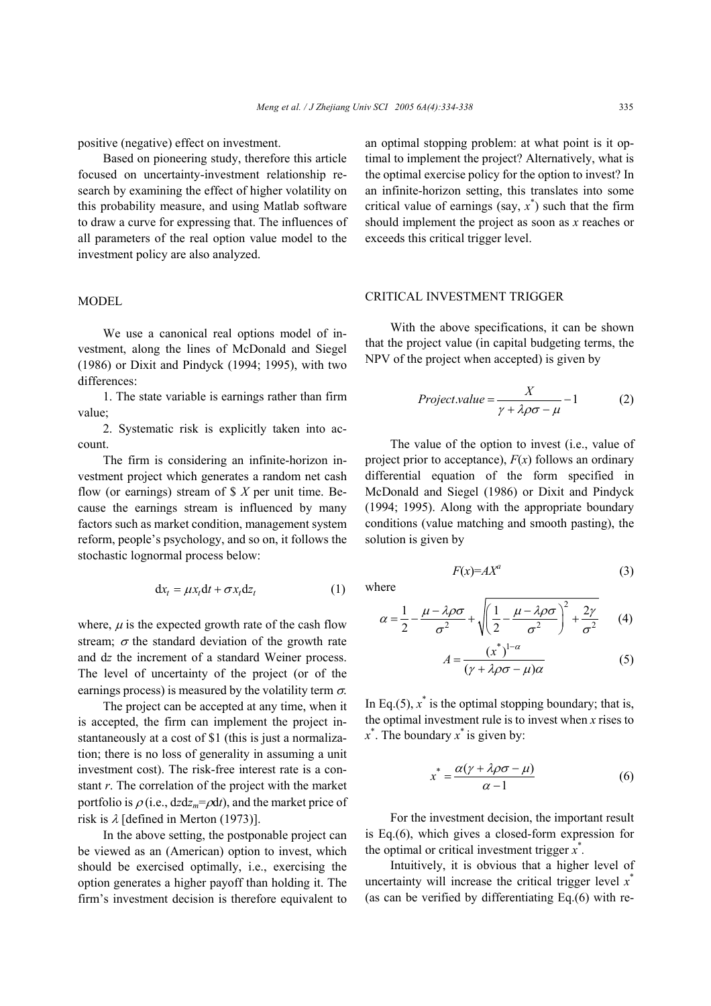positive (negative) effect on investment.

Based on pioneering study, therefore this article focused on uncertainty-investment relationship research by examining the effect of higher volatility on this probability measure, and using Matlab software to draw a curve for expressing that. The influences of all parameters of the real option value model to the investment policy are also analyzed.

#### MODEL

We use a canonical real options model of investment, along the lines of McDonald and Siegel (1986) or Dixit and Pindyck (1994; 1995), with two differences:

1. The state variable is earnings rather than firm value;

2. Systematic risk is explicitly taken into account.

The firm is considering an infinite-horizon investment project which generates a random net cash flow (or earnings) stream of \$ *X* per unit time. Because the earnings stream is influenced by many factors such as market condition, management system reform, people's psychology, and so on, it follows the stochastic lognormal process below:

$$
dx_t = \mu x_t dt + \sigma x_t dz_t \tag{1}
$$

where,  $\mu$  is the expected growth rate of the cash flow stream;  $\sigma$  the standard deviation of the growth rate and d*z* the increment of a standard Weiner process. The level of uncertainty of the project (or of the earnings process) is measured by the volatility term  $\sigma$ .

The project can be accepted at any time, when it is accepted, the firm can implement the project instantaneously at a cost of \$1 (this is just a normalization; there is no loss of generality in assuming a unit investment cost). The risk-free interest rate is a constant *r*. The correlation of the project with the market portfolio is  $\rho$  (i.e.,  $dz/dz_m = \rho dt$ ), and the market price of risk is  $\lambda$  [defined in Merton (1973)].

In the above setting, the postponable project can be viewed as an (American) option to invest, which should be exercised optimally, i.e., exercising the option generates a higher payoff than holding it. The firm's investment decision is therefore equivalent to an optimal stopping problem: at what point is it optimal to implement the project? Alternatively, what is the optimal exercise policy for the option to invest? In an infinite-horizon setting, this translates into some critical value of earnings (say,  $x^*$ ) such that the firm should implement the project as soon as *x* reaches or exceeds this critical trigger level.

### CRITICAL INVESTMENT TRIGGER

With the above specifications, it can be shown that the project value (in capital budgeting terms, the NPV of the project when accepted) is given by

$$
Project value = \frac{X}{\gamma + \lambda \rho \sigma - \mu} - 1 \tag{2}
$$

The value of the option to invest (i.e., value of project prior to acceptance),  $F(x)$  follows an ordinary differential equation of the form specified in McDonald and Siegel (1986) or Dixit and Pindyck (1994; 1995). Along with the appropriate boundary conditions (value matching and smooth pasting), the solution is given by

$$
F(x)=AX^a\tag{3}
$$

where

$$
\alpha = \frac{1}{2} - \frac{\mu - \lambda \rho \sigma}{\sigma^2} + \sqrt{\left(\frac{1}{2} - \frac{\mu - \lambda \rho \sigma}{\sigma^2}\right)^2 + \frac{2\gamma}{\sigma^2}} \qquad (4)
$$

$$
A = \frac{(x^*)^{1-\alpha}}{(\gamma + \lambda \rho \sigma - \mu)\alpha} \tag{5}
$$

In Eq.(5),  $x^*$  is the optimal stopping boundary; that is, the optimal investment rule is to invest when *x* rises to *x* \* . The boundary *x* \* is given by:

$$
x^* = \frac{\alpha(\gamma + \lambda\rho\sigma - \mu)}{\alpha - 1} \tag{6}
$$

For the investment decision, the important result is Eq.(6), which gives a closed-form expression for the optimal or critical investment trigger  $x^*$ .

Intuitively, it is obvious that a higher level of uncertainty will increase the critical trigger level *x* \* (as can be verified by differentiating Eq.(6) with re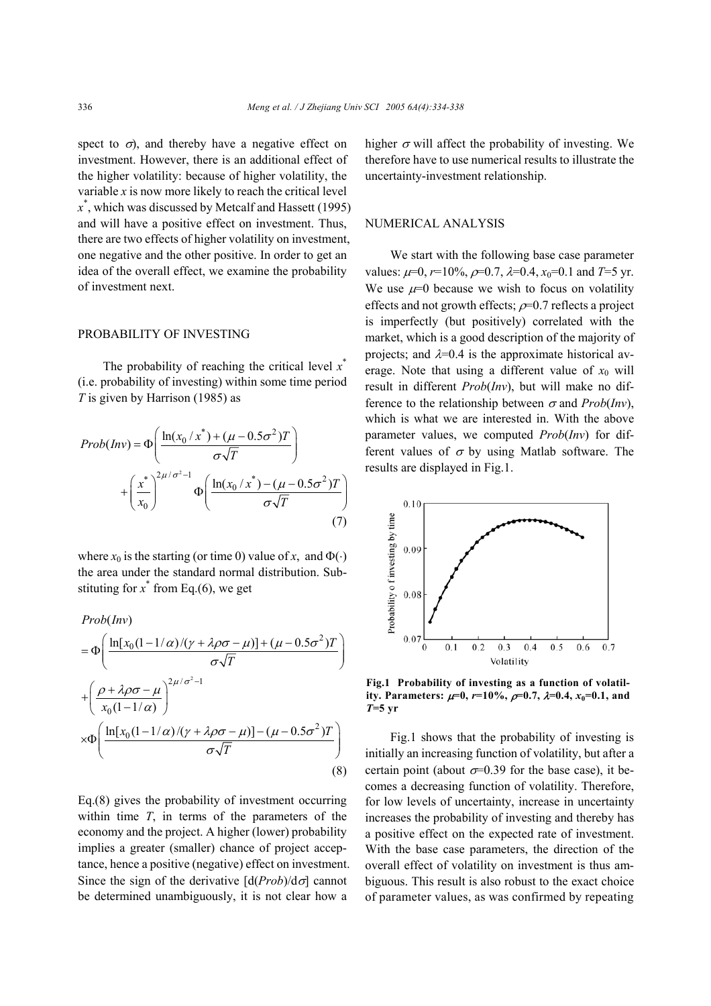spect to  $\sigma$ ), and thereby have a negative effect on investment. However, there is an additional effect of the higher volatility: because of higher volatility, the variable *x* is now more likely to reach the critical level *x* \* , which was discussed by Metcalf and Hassett (1995) and will have a positive effect on investment. Thus, there are two effects of higher volatility on investment, one negative and the other positive. In order to get an idea of the overall effect, we examine the probability of investment next.

#### PROBABILITY OF INVESTING

The probability of reaching the critical level x<sup>\*</sup> (i.e. probability of investing) within some time period *T* is given by Harrison (1985) as

$$
Prob(\text{Inv}) = \Phi\left(\frac{\ln(x_0/x^*) + (\mu - 0.5\sigma^2)T}{\sigma\sqrt{T}}\right)
$$

$$
+ \left(\frac{x^*}{x_0}\right)^{2\mu/\sigma^2 - 1} \Phi\left(\frac{\ln(x_0/x^*) - (\mu - 0.5\sigma^2)T}{\sigma\sqrt{T}}\right)
$$

$$
(7)
$$

where  $x_0$  is the starting (or time 0) value of x, and  $\Phi(\cdot)$ the area under the standard normal distribution. Substituting for  $x^*$  from Eq.(6), we get

$$
Prob(Inv)
$$
  
=  $\Phi\left(\frac{\ln[x_0(1-1/\alpha)/( \gamma + \lambda \rho \sigma - \mu)] + (\mu - 0.5\sigma^2)T}{\sigma \sqrt{T}}\right)$   
+  $\left(\frac{\rho + \lambda \rho \sigma - \mu}{x_0(1-1/\alpha)}\right)^{2\mu/\sigma^2-1}$   
 $\times \Phi\left(\frac{\ln[x_0(1-1/\alpha)/( \gamma + \lambda \rho \sigma - \mu)] - (\mu - 0.5\sigma^2)T}{\sigma \sqrt{T}}\right)$  (8)

Eq.(8) gives the probability of investment occurring within time *T*, in terms of the parameters of the economy and the project. A higher (lower) probability implies a greater (smaller) chance of project acceptance, hence a positive (negative) effect on investment. Since the sign of the derivative  $\left[ d(Prob)/d\sigma \right]$  cannot be determined unambiguously, it is not clear how a

higher  $\sigma$  will affect the probability of investing. We therefore have to use numerical results to illustrate the uncertainty-investment relationship.

#### NUMERICAL ANALYSIS

We start with the following base case parameter values:  $\mu=0$ ,  $r=10\%$ ,  $\sigma=0.7$ ,  $\lambda=0.4$ ,  $x_0=0.1$  and  $T=5$  yr. We use  $\mu=0$  because we wish to focus on volatility effects and not growth effects;  $\rho$ =0.7 reflects a project is imperfectly (but positively) correlated with the market, which is a good description of the majority of projects; and  $\lambda$ =0.4 is the approximate historical average. Note that using a different value of  $x_0$  will result in different *Prob*(*Inv*), but will make no difference to the relationship between  $\sigma$  and *Prob(Inv*), which is what we are interested in. With the above parameter values, we computed *Prob*(*Inv*) for different values of  $\sigma$  by using Matlab software. The results are displayed in Fig.1.



**Fig.1 Probability of investing as a function of volatility. Parameters:**  $\mu=0$ ,  $r=10\%$ ,  $\rho=0.7$ ,  $\lambda=0.4$ ,  $x_0=0.1$ , and *T***=5 yr**

Fig.1 shows that the probability of investing is initially an increasing function of volatility, but after a certain point (about  $\sigma$ =0.39 for the base case), it becomes a decreasing function of volatility. Therefore, for low levels of uncertainty, increase in uncertainty increases the probability of investing and thereby has a positive effect on the expected rate of investment. With the base case parameters, the direction of the overall effect of volatility on investment is thus ambiguous. This result is also robust to the exact choice of parameter values, as was confirmed by repeating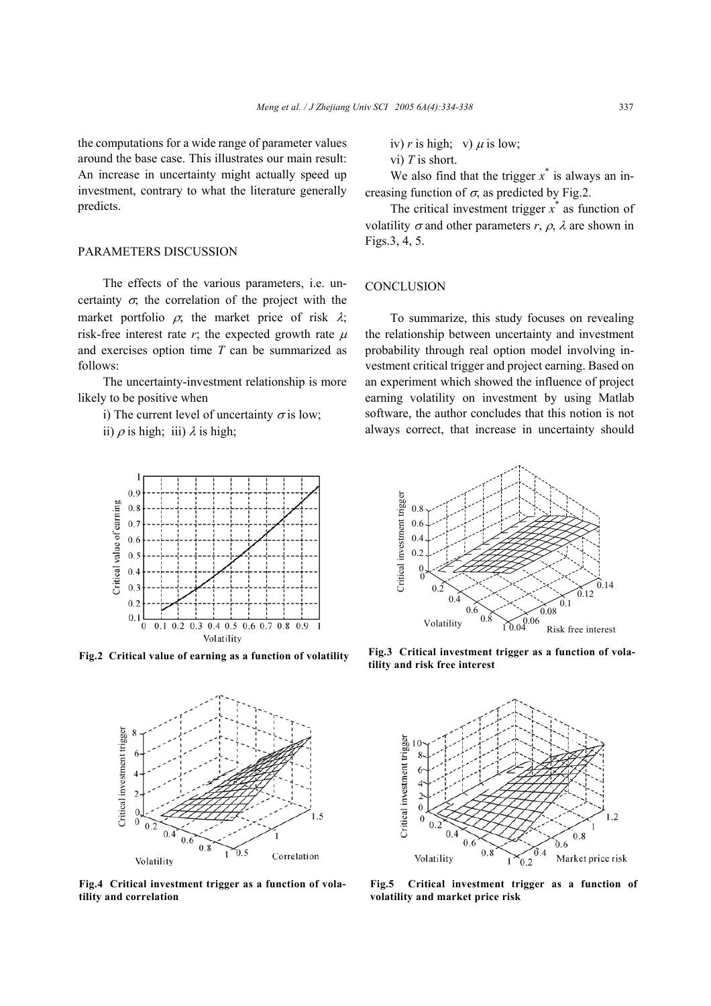the computations for a wide range of parameter values around the base case. This illustrates our main result: An increase in uncertainty might actually speed up investment, contrary to what the literature generally predicts.

### PARAMETERS DISCUSSION

The effects of the various parameters, i.e. uncertainty  $\sigma$ , the correlation of the project with the market portfolio  $\rho$ ; the market price of risk  $\lambda$ ; risk-free interest rate  $r$ ; the expected growth rate  $\mu$ and exercises option time *T* can be summarized as follows:

The uncertainty-investment relationship is more likely to be positive when

i) The current level of uncertainty  $\sigma$  is low;

ii)  $\rho$  is high; iii)  $\lambda$  is high;



**Fig.2 Critical value of earning as a function of volatility** 



**Fig.4 Critical investment trigger as a function of volatility and correlation** 

iv)  $r$  is high; v)  $\mu$  is low;

vi) *T* is short.

We also find that the trigger  $x^*$  is always an increasing function of  $\sigma$ , as predicted by Fig.2.

The critical investment trigger  $x^*$  as function of volatility  $\sigma$  and other parameters  $r$ ,  $\rho$ ,  $\lambda$  are shown in Figs.3, 4, 5.

#### **CONCLUSION**

To summarize, this study focuses on revealing the relationship between uncertainty and investment probability through real option model involving investment critical trigger and project earning. Based on an experiment which showed the influence of project earning volatility on investment by using Matlab software, the author concludes that this notion is not always correct, that increase in uncertainty should



**Fig.3 Critical investment trigger as a function of vola-**



**Fig.5 Critical investment trigger as a function of volatility and market price risk**